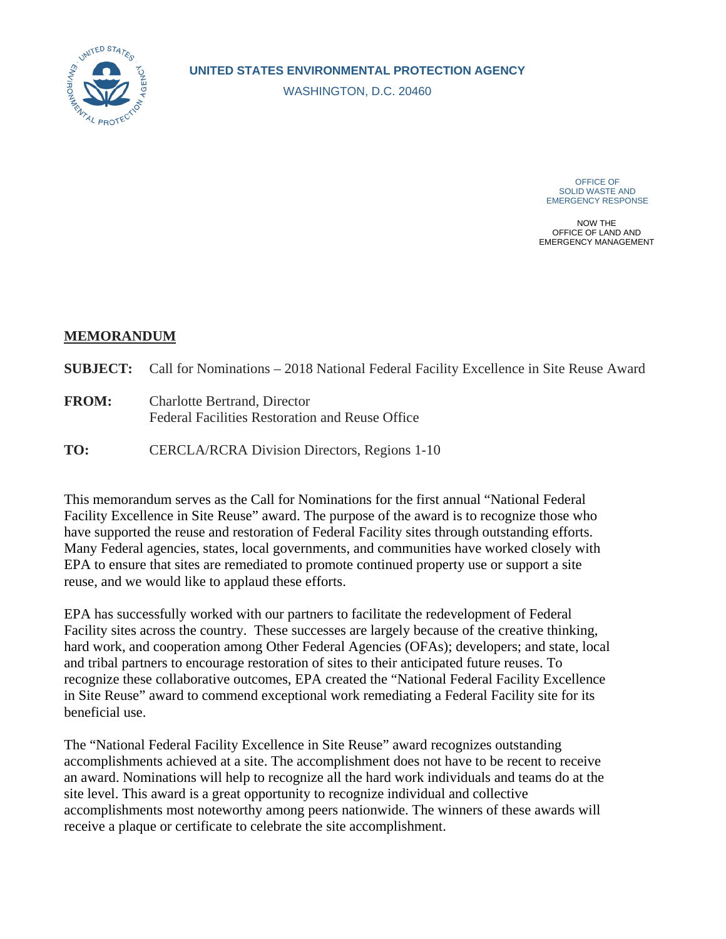

WASHINGTON, D.C. 20460

OFFICE OF SOLID WASTE AND EMERGENCY RESPONSE

NOW THE OFFICE OF LAND AND EMERGENCY MANAGEMENT

## **MEMORANDUM**

|              | <b>SUBJECT:</b> Call for Nominations – 2018 National Federal Facility Excellence in Site Reuse Award |
|--------------|------------------------------------------------------------------------------------------------------|
| <b>FROM:</b> | Charlotte Bertrand, Director<br>Federal Facilities Restoration and Reuse Office                      |
| TO:          | CERCLA/RCRA Division Directors, Regions 1-10                                                         |

 have supported the reuse and restoration of Federal Facility sites through outstanding efforts. Many Federal agencies, states, local governments, and communities have worked closely with EPA to ensure that sites are remediated to promote continued property use or support a site reuse, and we would like to applaud these efforts. This memorandum serves as the Call for Nominations for the first annual "National Federal Facility Excellence in Site Reuse" award. The purpose of the award is to recognize those who

reuse, and we would like to applaud these efforts.<br>EPA has successfully worked with our partners to facilitate the redevelopment of Federal hard work, and cooperation among Other Federal Agencies (OFAs); developers; and state, local and tribal partners to encourage restoration of sites to their anticipated future reuses. To recognize these collaborative outcomes, EPA created the "National Federal Facility Excellence beneficial use. Facility sites across the country. These successes are largely because of the creative thinking, in Site Reuse" award to commend exceptional work remediating a Federal Facility site for its

The "National Federal Facility Excellence in Site Reuse" award recognizes outstanding accomplishments achieved at a site. The accomplishment does not have to be recent to receive an award. Nominations will help to recognize all the hard work individuals and teams do at the site level. This award is a great opportunity to recognize individual and collective accomplishments most noteworthy among peers nationwide. The winners of these awards will receive a plaque or certificate to celebrate the site accomplishment.